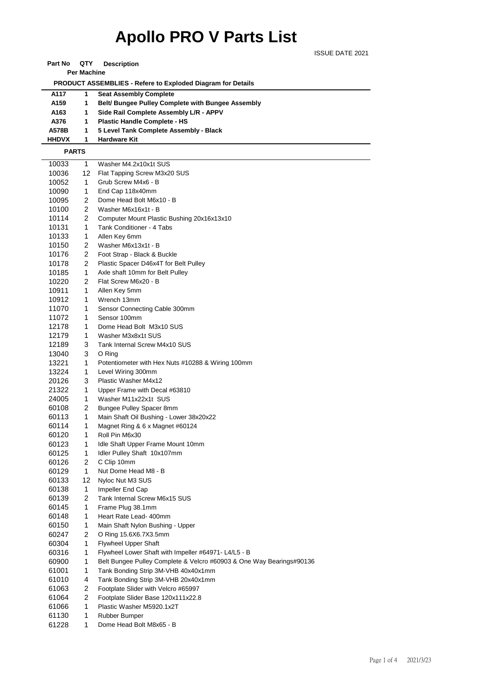## **Apollo PRO V Parts List**

ISSUE DATE 2021

| Part No | QTY | <b>Description</b> |
|---------|-----|--------------------|
|---------|-----|--------------------|

**Per Machine**

 **PRODUCT ASSEMBLIES - Refere to Exploded Diagram for Details** 

| A117             | <b>Seat Assembly Complete</b>                            |
|------------------|----------------------------------------------------------|
| A <sub>159</sub> | <b>Belt/ Bungee Pulley Complete with Bungee Assembly</b> |
| A163             | Side Rail Complete Assembly L/R - APPV                   |
| A376             | <b>Plastic Handle Complete - HS</b>                      |
| A578B            | 5 Level Tank Complete Assembly - Black                   |
| <b>HHDVX</b>     | <b>Hardware Kit</b>                                      |

 **PARTS**

| 10033 | 1              | Washer M4.2x10x1t SUS                                                |
|-------|----------------|----------------------------------------------------------------------|
| 10036 | 12             | Flat Tapping Screw M3x20 SUS                                         |
| 10052 | 1              | Grub Screw M4x6 - B                                                  |
| 10090 | 1              | End Cap 118x40mm                                                     |
| 10095 | 2              | Dome Head Bolt M6x10 - B                                             |
| 10100 | 2              | Washer M6x16x1t - B                                                  |
| 10114 | 2              | Computer Mount Plastic Bushing 20x16x13x10                           |
| 10131 | 1              | Tank Conditioner - 4 Tabs                                            |
| 10133 | 1              | Allen Key 6mm                                                        |
| 10150 | 2              | Washer M6x13x1t - B                                                  |
| 10176 | 2              | Foot Strap - Black & Buckle                                          |
| 10178 | $\overline{c}$ | Plastic Spacer D46x4T for Belt Pulley                                |
| 10185 | 1              | Axle shaft 10mm for Belt Pulley                                      |
| 10220 | 2              | Flat Screw M6x20 - B                                                 |
| 10911 | 1              | Allen Key 5mm                                                        |
| 10912 | 1              | Wrench 13mm                                                          |
| 11070 | 1              | Sensor Connecting Cable 300mm                                        |
| 11072 | 1              | Sensor 100mm                                                         |
| 12178 | 1              | Dome Head Bolt M3x10 SUS                                             |
| 12179 | 1              | Washer M3x8x1t SUS                                                   |
| 12189 | 3              | Tank Internal Screw M4x10 SUS                                        |
| 13040 | 3              | O Ring                                                               |
| 13221 | 1              | Potentiometer with Hex Nuts #10288 & Wiring 100mm                    |
| 13224 | 1              | Level Wiring 300mm                                                   |
| 20126 | 3              | Plastic Washer M4x12                                                 |
| 21322 | 1              | Upper Frame with Decal #63810                                        |
| 24005 | 1              | Washer M11x22x1t SUS                                                 |
| 60108 | 2              | Bungee Pulley Spacer 8mm                                             |
| 60113 | 1              | Main Shaft Oil Bushing - Lower 38x20x22                              |
| 60114 | 1              | Magnet Ring & 6 x Magnet #60124                                      |
| 60120 | 1              | Roll Pin M6x30                                                       |
| 60123 | 1              | Idle Shaft Upper Frame Mount 10mm                                    |
| 60125 | 1              | Idler Pulley Shaft 10x107mm                                          |
| 60126 | 2              | C Clip 10mm                                                          |
| 60129 | 1              | Nut Dome Head M8 - B                                                 |
| 60133 | 12             | Nyloc Nut M3 SUS                                                     |
| 60138 | 1              | Impeller End Cap                                                     |
| 60139 | 2              | Tank Internal Screw M6x15 SUS                                        |
| 60145 | 1              | Frame Plug 38.1mm                                                    |
| 60148 | 1              | Heart Rate Lead- 400mm                                               |
| 60150 | 1              | Main Shaft Nylon Bushing - Upper                                     |
| 60247 | 2              | O Ring 15.6X6.7X3.5mm                                                |
| 60304 | 1              | Flywheel Upper Shaft                                                 |
| 60316 | 1              | Flywheel Lower Shaft with Impeller #64971- L4/L5 - B                 |
| 60900 | 1              | Belt Bungee Pulley Complete & Velcro #60903 & One Way Bearings#90136 |
| 61001 | 1              | Tank Bonding Strip 3M-VHB 40x40x1mm                                  |
| 61010 | 4              | Tank Bonding Strip 3M-VHB 20x40x1mm                                  |
| 61063 | 2              | Footplate Slider with Velcro #65997                                  |
| 61064 | $\overline{c}$ | Footplate Slider Base 120x111x22.8                                   |
| 61066 | 1              | Plastic Washer M5920.1x2T                                            |
| 61130 | 1              | Rubber Bumper                                                        |
| 61228 | 1              | Dome Head Bolt M8x65 - B                                             |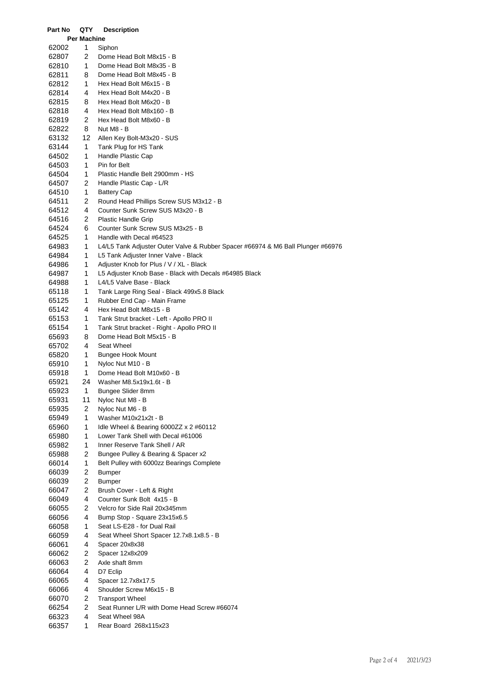| <b>Per Machine</b><br>1<br>62002<br>Siphon<br>2<br>62807<br>Dome Head Bolt M8x15 - B<br>1<br>62810<br>Dome Head Bolt M8x35 - B<br>62811<br>8<br>Dome Head Bolt M8x45 - B<br>62812<br>1<br>Hex Head Bolt M6x15 - B<br>62814<br>4<br>Hex Head Bolt M4x20 - B<br>62815<br>8<br>Hex Head Bolt M6x20 - B<br>62818<br>4<br>Hex Head Bolt M8x160 - B<br>2<br>62819<br>Hex Head Bolt M8x60 - B<br>62822<br>8<br>Nut M8 - B<br>12<br>63132<br>Allen Key Bolt-M3x20 - SUS<br>63144<br>1<br>Tank Plug for HS Tank<br>1<br>Handle Plastic Cap<br>64502<br>64503<br>1<br>Pin for Belt<br>1<br>Plastic Handle Belt 2900mm - HS<br>64504<br>2<br>64507<br>Handle Plastic Cap - L/R<br>1<br>64510<br><b>Battery Cap</b><br>2<br>Round Head Phillips Screw SUS M3x12 - B<br>64511<br>4<br>64512<br>Counter Sunk Screw SUS M3x20 - B<br>64516<br>2<br><b>Plastic Handle Grip</b><br>6<br>Counter Sunk Screw SUS M3x25 - B<br>64524<br>64525<br>1<br>Handle with Decal #64523<br>1<br>64983<br>L4/L5 Tank Adjuster Outer Valve & Rubber Spacer #66974 & M6 Ball Plunger #66976<br>1<br>L5 Tank Adjuster Inner Valve - Black<br>64984<br>1<br>64986<br>Adjuster Knob for Plus / V / XL - Black<br>1<br>64987<br>L5 Adjuster Knob Base - Black with Decals #64985 Black<br>64988<br>1<br>L4/L5 Valve Base - Black<br>1<br>65118<br>Tank Large Ring Seal - Black 499x5.8 Black<br>1<br>Rubber End Cap - Main Frame<br>65125<br>4<br>65142<br>Hex Head Bolt M8x15 - B<br>1<br>65153<br>Tank Strut bracket - Left - Apollo PRO II<br>1<br>65154<br>Tank Strut bracket - Right - Apollo PRO II<br>65693<br>8<br>Dome Head Bolt M5x15 - B<br>4<br>Seat Wheel<br>65702<br>65820<br>1<br><b>Bungee Hook Mount</b><br>1<br>Nyloc Nut M10 - B<br>65910<br>65918<br>1<br>Dome Head Bolt M10x60 - B<br>24<br>65921<br>Washer M8.5x19x1.6t - B<br>65923<br>1<br>Bungee Slider 8mm<br>11<br>65931<br>Nyloc Nut M8 - B<br>2<br>65935<br>Nyloc Nut M6 - B<br>1<br>65949<br>Washer M10x21x2t - B<br>1<br>65960<br>Idle Wheel & Bearing 6000ZZ $\times$ 2 #60112<br>1<br>65980<br>Lower Tank Shell with Decal #61006<br>1<br>Inner Reserve Tank Shell / AR<br>65982<br>2<br>65988<br>Bungee Pulley & Bearing & Spacer x2<br>1<br>66014<br>Belt Pulley with 6000zz Bearings Complete<br>2<br>66039<br><b>Bumper</b><br>2<br><b>Bumper</b><br>66039<br>2<br>66047<br>Brush Cover - Left & Right<br>4<br>66049<br>Counter Sunk Bolt 4x15 - B<br>2<br>Velcro for Side Rail 20x345mm<br>66055<br>4<br>66056<br>Bump Stop - Square 23x15x6.5<br>66058<br>1<br>Seat LS-E28 - for Dual Rail<br>4<br>66059<br>Seat Wheel Short Spacer 12.7x8.1x8.5 - B<br>66061<br>4<br>Spacer 20x8x38<br>2<br>Spacer 12x8x209<br>66062<br>2<br>66063<br>Axle shaft 8mm<br>4<br>66064<br>D7 Eclip<br>4<br>66065<br>Spacer 12.7x8x17.5<br>4<br>66066<br>Shoulder Screw M6x15 - B<br>2<br>66070<br><b>Transport Wheel</b><br>2<br>66254<br>Seat Runner L/R with Dome Head Screw #66074<br>4<br>66323<br>Seat Wheel 98A | Part No | QTY | <b>Description</b>    |
|-------------------------------------------------------------------------------------------------------------------------------------------------------------------------------------------------------------------------------------------------------------------------------------------------------------------------------------------------------------------------------------------------------------------------------------------------------------------------------------------------------------------------------------------------------------------------------------------------------------------------------------------------------------------------------------------------------------------------------------------------------------------------------------------------------------------------------------------------------------------------------------------------------------------------------------------------------------------------------------------------------------------------------------------------------------------------------------------------------------------------------------------------------------------------------------------------------------------------------------------------------------------------------------------------------------------------------------------------------------------------------------------------------------------------------------------------------------------------------------------------------------------------------------------------------------------------------------------------------------------------------------------------------------------------------------------------------------------------------------------------------------------------------------------------------------------------------------------------------------------------------------------------------------------------------------------------------------------------------------------------------------------------------------------------------------------------------------------------------------------------------------------------------------------------------------------------------------------------------------------------------------------------------------------------------------------------------------------------------------------------------------------------------------------------------------------------------------------------------------------------------------------------------------------------------------------------------------------------------------------------------------------------------------------------------------------------------------------------------------------------------------------------------------------------------------------------------------------------------------------------------------------------------------------------------------------------------|---------|-----|-----------------------|
|                                                                                                                                                                                                                                                                                                                                                                                                                                                                                                                                                                                                                                                                                                                                                                                                                                                                                                                                                                                                                                                                                                                                                                                                                                                                                                                                                                                                                                                                                                                                                                                                                                                                                                                                                                                                                                                                                                                                                                                                                                                                                                                                                                                                                                                                                                                                                                                                                                                                                                                                                                                                                                                                                                                                                                                                                                                                                                                                                       |         |     |                       |
|                                                                                                                                                                                                                                                                                                                                                                                                                                                                                                                                                                                                                                                                                                                                                                                                                                                                                                                                                                                                                                                                                                                                                                                                                                                                                                                                                                                                                                                                                                                                                                                                                                                                                                                                                                                                                                                                                                                                                                                                                                                                                                                                                                                                                                                                                                                                                                                                                                                                                                                                                                                                                                                                                                                                                                                                                                                                                                                                                       |         |     |                       |
|                                                                                                                                                                                                                                                                                                                                                                                                                                                                                                                                                                                                                                                                                                                                                                                                                                                                                                                                                                                                                                                                                                                                                                                                                                                                                                                                                                                                                                                                                                                                                                                                                                                                                                                                                                                                                                                                                                                                                                                                                                                                                                                                                                                                                                                                                                                                                                                                                                                                                                                                                                                                                                                                                                                                                                                                                                                                                                                                                       |         |     |                       |
|                                                                                                                                                                                                                                                                                                                                                                                                                                                                                                                                                                                                                                                                                                                                                                                                                                                                                                                                                                                                                                                                                                                                                                                                                                                                                                                                                                                                                                                                                                                                                                                                                                                                                                                                                                                                                                                                                                                                                                                                                                                                                                                                                                                                                                                                                                                                                                                                                                                                                                                                                                                                                                                                                                                                                                                                                                                                                                                                                       |         |     |                       |
|                                                                                                                                                                                                                                                                                                                                                                                                                                                                                                                                                                                                                                                                                                                                                                                                                                                                                                                                                                                                                                                                                                                                                                                                                                                                                                                                                                                                                                                                                                                                                                                                                                                                                                                                                                                                                                                                                                                                                                                                                                                                                                                                                                                                                                                                                                                                                                                                                                                                                                                                                                                                                                                                                                                                                                                                                                                                                                                                                       |         |     |                       |
|                                                                                                                                                                                                                                                                                                                                                                                                                                                                                                                                                                                                                                                                                                                                                                                                                                                                                                                                                                                                                                                                                                                                                                                                                                                                                                                                                                                                                                                                                                                                                                                                                                                                                                                                                                                                                                                                                                                                                                                                                                                                                                                                                                                                                                                                                                                                                                                                                                                                                                                                                                                                                                                                                                                                                                                                                                                                                                                                                       |         |     |                       |
|                                                                                                                                                                                                                                                                                                                                                                                                                                                                                                                                                                                                                                                                                                                                                                                                                                                                                                                                                                                                                                                                                                                                                                                                                                                                                                                                                                                                                                                                                                                                                                                                                                                                                                                                                                                                                                                                                                                                                                                                                                                                                                                                                                                                                                                                                                                                                                                                                                                                                                                                                                                                                                                                                                                                                                                                                                                                                                                                                       |         |     |                       |
|                                                                                                                                                                                                                                                                                                                                                                                                                                                                                                                                                                                                                                                                                                                                                                                                                                                                                                                                                                                                                                                                                                                                                                                                                                                                                                                                                                                                                                                                                                                                                                                                                                                                                                                                                                                                                                                                                                                                                                                                                                                                                                                                                                                                                                                                                                                                                                                                                                                                                                                                                                                                                                                                                                                                                                                                                                                                                                                                                       |         |     |                       |
|                                                                                                                                                                                                                                                                                                                                                                                                                                                                                                                                                                                                                                                                                                                                                                                                                                                                                                                                                                                                                                                                                                                                                                                                                                                                                                                                                                                                                                                                                                                                                                                                                                                                                                                                                                                                                                                                                                                                                                                                                                                                                                                                                                                                                                                                                                                                                                                                                                                                                                                                                                                                                                                                                                                                                                                                                                                                                                                                                       |         |     |                       |
|                                                                                                                                                                                                                                                                                                                                                                                                                                                                                                                                                                                                                                                                                                                                                                                                                                                                                                                                                                                                                                                                                                                                                                                                                                                                                                                                                                                                                                                                                                                                                                                                                                                                                                                                                                                                                                                                                                                                                                                                                                                                                                                                                                                                                                                                                                                                                                                                                                                                                                                                                                                                                                                                                                                                                                                                                                                                                                                                                       |         |     |                       |
|                                                                                                                                                                                                                                                                                                                                                                                                                                                                                                                                                                                                                                                                                                                                                                                                                                                                                                                                                                                                                                                                                                                                                                                                                                                                                                                                                                                                                                                                                                                                                                                                                                                                                                                                                                                                                                                                                                                                                                                                                                                                                                                                                                                                                                                                                                                                                                                                                                                                                                                                                                                                                                                                                                                                                                                                                                                                                                                                                       |         |     |                       |
|                                                                                                                                                                                                                                                                                                                                                                                                                                                                                                                                                                                                                                                                                                                                                                                                                                                                                                                                                                                                                                                                                                                                                                                                                                                                                                                                                                                                                                                                                                                                                                                                                                                                                                                                                                                                                                                                                                                                                                                                                                                                                                                                                                                                                                                                                                                                                                                                                                                                                                                                                                                                                                                                                                                                                                                                                                                                                                                                                       |         |     |                       |
|                                                                                                                                                                                                                                                                                                                                                                                                                                                                                                                                                                                                                                                                                                                                                                                                                                                                                                                                                                                                                                                                                                                                                                                                                                                                                                                                                                                                                                                                                                                                                                                                                                                                                                                                                                                                                                                                                                                                                                                                                                                                                                                                                                                                                                                                                                                                                                                                                                                                                                                                                                                                                                                                                                                                                                                                                                                                                                                                                       |         |     |                       |
|                                                                                                                                                                                                                                                                                                                                                                                                                                                                                                                                                                                                                                                                                                                                                                                                                                                                                                                                                                                                                                                                                                                                                                                                                                                                                                                                                                                                                                                                                                                                                                                                                                                                                                                                                                                                                                                                                                                                                                                                                                                                                                                                                                                                                                                                                                                                                                                                                                                                                                                                                                                                                                                                                                                                                                                                                                                                                                                                                       |         |     |                       |
|                                                                                                                                                                                                                                                                                                                                                                                                                                                                                                                                                                                                                                                                                                                                                                                                                                                                                                                                                                                                                                                                                                                                                                                                                                                                                                                                                                                                                                                                                                                                                                                                                                                                                                                                                                                                                                                                                                                                                                                                                                                                                                                                                                                                                                                                                                                                                                                                                                                                                                                                                                                                                                                                                                                                                                                                                                                                                                                                                       |         |     |                       |
|                                                                                                                                                                                                                                                                                                                                                                                                                                                                                                                                                                                                                                                                                                                                                                                                                                                                                                                                                                                                                                                                                                                                                                                                                                                                                                                                                                                                                                                                                                                                                                                                                                                                                                                                                                                                                                                                                                                                                                                                                                                                                                                                                                                                                                                                                                                                                                                                                                                                                                                                                                                                                                                                                                                                                                                                                                                                                                                                                       |         |     |                       |
|                                                                                                                                                                                                                                                                                                                                                                                                                                                                                                                                                                                                                                                                                                                                                                                                                                                                                                                                                                                                                                                                                                                                                                                                                                                                                                                                                                                                                                                                                                                                                                                                                                                                                                                                                                                                                                                                                                                                                                                                                                                                                                                                                                                                                                                                                                                                                                                                                                                                                                                                                                                                                                                                                                                                                                                                                                                                                                                                                       |         |     |                       |
|                                                                                                                                                                                                                                                                                                                                                                                                                                                                                                                                                                                                                                                                                                                                                                                                                                                                                                                                                                                                                                                                                                                                                                                                                                                                                                                                                                                                                                                                                                                                                                                                                                                                                                                                                                                                                                                                                                                                                                                                                                                                                                                                                                                                                                                                                                                                                                                                                                                                                                                                                                                                                                                                                                                                                                                                                                                                                                                                                       |         |     |                       |
|                                                                                                                                                                                                                                                                                                                                                                                                                                                                                                                                                                                                                                                                                                                                                                                                                                                                                                                                                                                                                                                                                                                                                                                                                                                                                                                                                                                                                                                                                                                                                                                                                                                                                                                                                                                                                                                                                                                                                                                                                                                                                                                                                                                                                                                                                                                                                                                                                                                                                                                                                                                                                                                                                                                                                                                                                                                                                                                                                       |         |     |                       |
|                                                                                                                                                                                                                                                                                                                                                                                                                                                                                                                                                                                                                                                                                                                                                                                                                                                                                                                                                                                                                                                                                                                                                                                                                                                                                                                                                                                                                                                                                                                                                                                                                                                                                                                                                                                                                                                                                                                                                                                                                                                                                                                                                                                                                                                                                                                                                                                                                                                                                                                                                                                                                                                                                                                                                                                                                                                                                                                                                       |         |     |                       |
|                                                                                                                                                                                                                                                                                                                                                                                                                                                                                                                                                                                                                                                                                                                                                                                                                                                                                                                                                                                                                                                                                                                                                                                                                                                                                                                                                                                                                                                                                                                                                                                                                                                                                                                                                                                                                                                                                                                                                                                                                                                                                                                                                                                                                                                                                                                                                                                                                                                                                                                                                                                                                                                                                                                                                                                                                                                                                                                                                       |         |     |                       |
|                                                                                                                                                                                                                                                                                                                                                                                                                                                                                                                                                                                                                                                                                                                                                                                                                                                                                                                                                                                                                                                                                                                                                                                                                                                                                                                                                                                                                                                                                                                                                                                                                                                                                                                                                                                                                                                                                                                                                                                                                                                                                                                                                                                                                                                                                                                                                                                                                                                                                                                                                                                                                                                                                                                                                                                                                                                                                                                                                       |         |     |                       |
|                                                                                                                                                                                                                                                                                                                                                                                                                                                                                                                                                                                                                                                                                                                                                                                                                                                                                                                                                                                                                                                                                                                                                                                                                                                                                                                                                                                                                                                                                                                                                                                                                                                                                                                                                                                                                                                                                                                                                                                                                                                                                                                                                                                                                                                                                                                                                                                                                                                                                                                                                                                                                                                                                                                                                                                                                                                                                                                                                       |         |     |                       |
|                                                                                                                                                                                                                                                                                                                                                                                                                                                                                                                                                                                                                                                                                                                                                                                                                                                                                                                                                                                                                                                                                                                                                                                                                                                                                                                                                                                                                                                                                                                                                                                                                                                                                                                                                                                                                                                                                                                                                                                                                                                                                                                                                                                                                                                                                                                                                                                                                                                                                                                                                                                                                                                                                                                                                                                                                                                                                                                                                       |         |     |                       |
|                                                                                                                                                                                                                                                                                                                                                                                                                                                                                                                                                                                                                                                                                                                                                                                                                                                                                                                                                                                                                                                                                                                                                                                                                                                                                                                                                                                                                                                                                                                                                                                                                                                                                                                                                                                                                                                                                                                                                                                                                                                                                                                                                                                                                                                                                                                                                                                                                                                                                                                                                                                                                                                                                                                                                                                                                                                                                                                                                       |         |     |                       |
|                                                                                                                                                                                                                                                                                                                                                                                                                                                                                                                                                                                                                                                                                                                                                                                                                                                                                                                                                                                                                                                                                                                                                                                                                                                                                                                                                                                                                                                                                                                                                                                                                                                                                                                                                                                                                                                                                                                                                                                                                                                                                                                                                                                                                                                                                                                                                                                                                                                                                                                                                                                                                                                                                                                                                                                                                                                                                                                                                       |         |     |                       |
|                                                                                                                                                                                                                                                                                                                                                                                                                                                                                                                                                                                                                                                                                                                                                                                                                                                                                                                                                                                                                                                                                                                                                                                                                                                                                                                                                                                                                                                                                                                                                                                                                                                                                                                                                                                                                                                                                                                                                                                                                                                                                                                                                                                                                                                                                                                                                                                                                                                                                                                                                                                                                                                                                                                                                                                                                                                                                                                                                       |         |     |                       |
|                                                                                                                                                                                                                                                                                                                                                                                                                                                                                                                                                                                                                                                                                                                                                                                                                                                                                                                                                                                                                                                                                                                                                                                                                                                                                                                                                                                                                                                                                                                                                                                                                                                                                                                                                                                                                                                                                                                                                                                                                                                                                                                                                                                                                                                                                                                                                                                                                                                                                                                                                                                                                                                                                                                                                                                                                                                                                                                                                       |         |     |                       |
|                                                                                                                                                                                                                                                                                                                                                                                                                                                                                                                                                                                                                                                                                                                                                                                                                                                                                                                                                                                                                                                                                                                                                                                                                                                                                                                                                                                                                                                                                                                                                                                                                                                                                                                                                                                                                                                                                                                                                                                                                                                                                                                                                                                                                                                                                                                                                                                                                                                                                                                                                                                                                                                                                                                                                                                                                                                                                                                                                       |         |     |                       |
|                                                                                                                                                                                                                                                                                                                                                                                                                                                                                                                                                                                                                                                                                                                                                                                                                                                                                                                                                                                                                                                                                                                                                                                                                                                                                                                                                                                                                                                                                                                                                                                                                                                                                                                                                                                                                                                                                                                                                                                                                                                                                                                                                                                                                                                                                                                                                                                                                                                                                                                                                                                                                                                                                                                                                                                                                                                                                                                                                       |         |     |                       |
|                                                                                                                                                                                                                                                                                                                                                                                                                                                                                                                                                                                                                                                                                                                                                                                                                                                                                                                                                                                                                                                                                                                                                                                                                                                                                                                                                                                                                                                                                                                                                                                                                                                                                                                                                                                                                                                                                                                                                                                                                                                                                                                                                                                                                                                                                                                                                                                                                                                                                                                                                                                                                                                                                                                                                                                                                                                                                                                                                       |         |     |                       |
|                                                                                                                                                                                                                                                                                                                                                                                                                                                                                                                                                                                                                                                                                                                                                                                                                                                                                                                                                                                                                                                                                                                                                                                                                                                                                                                                                                                                                                                                                                                                                                                                                                                                                                                                                                                                                                                                                                                                                                                                                                                                                                                                                                                                                                                                                                                                                                                                                                                                                                                                                                                                                                                                                                                                                                                                                                                                                                                                                       |         |     |                       |
|                                                                                                                                                                                                                                                                                                                                                                                                                                                                                                                                                                                                                                                                                                                                                                                                                                                                                                                                                                                                                                                                                                                                                                                                                                                                                                                                                                                                                                                                                                                                                                                                                                                                                                                                                                                                                                                                                                                                                                                                                                                                                                                                                                                                                                                                                                                                                                                                                                                                                                                                                                                                                                                                                                                                                                                                                                                                                                                                                       |         |     |                       |
|                                                                                                                                                                                                                                                                                                                                                                                                                                                                                                                                                                                                                                                                                                                                                                                                                                                                                                                                                                                                                                                                                                                                                                                                                                                                                                                                                                                                                                                                                                                                                                                                                                                                                                                                                                                                                                                                                                                                                                                                                                                                                                                                                                                                                                                                                                                                                                                                                                                                                                                                                                                                                                                                                                                                                                                                                                                                                                                                                       |         |     |                       |
|                                                                                                                                                                                                                                                                                                                                                                                                                                                                                                                                                                                                                                                                                                                                                                                                                                                                                                                                                                                                                                                                                                                                                                                                                                                                                                                                                                                                                                                                                                                                                                                                                                                                                                                                                                                                                                                                                                                                                                                                                                                                                                                                                                                                                                                                                                                                                                                                                                                                                                                                                                                                                                                                                                                                                                                                                                                                                                                                                       |         |     |                       |
|                                                                                                                                                                                                                                                                                                                                                                                                                                                                                                                                                                                                                                                                                                                                                                                                                                                                                                                                                                                                                                                                                                                                                                                                                                                                                                                                                                                                                                                                                                                                                                                                                                                                                                                                                                                                                                                                                                                                                                                                                                                                                                                                                                                                                                                                                                                                                                                                                                                                                                                                                                                                                                                                                                                                                                                                                                                                                                                                                       |         |     |                       |
|                                                                                                                                                                                                                                                                                                                                                                                                                                                                                                                                                                                                                                                                                                                                                                                                                                                                                                                                                                                                                                                                                                                                                                                                                                                                                                                                                                                                                                                                                                                                                                                                                                                                                                                                                                                                                                                                                                                                                                                                                                                                                                                                                                                                                                                                                                                                                                                                                                                                                                                                                                                                                                                                                                                                                                                                                                                                                                                                                       |         |     |                       |
|                                                                                                                                                                                                                                                                                                                                                                                                                                                                                                                                                                                                                                                                                                                                                                                                                                                                                                                                                                                                                                                                                                                                                                                                                                                                                                                                                                                                                                                                                                                                                                                                                                                                                                                                                                                                                                                                                                                                                                                                                                                                                                                                                                                                                                                                                                                                                                                                                                                                                                                                                                                                                                                                                                                                                                                                                                                                                                                                                       |         |     |                       |
|                                                                                                                                                                                                                                                                                                                                                                                                                                                                                                                                                                                                                                                                                                                                                                                                                                                                                                                                                                                                                                                                                                                                                                                                                                                                                                                                                                                                                                                                                                                                                                                                                                                                                                                                                                                                                                                                                                                                                                                                                                                                                                                                                                                                                                                                                                                                                                                                                                                                                                                                                                                                                                                                                                                                                                                                                                                                                                                                                       |         |     |                       |
|                                                                                                                                                                                                                                                                                                                                                                                                                                                                                                                                                                                                                                                                                                                                                                                                                                                                                                                                                                                                                                                                                                                                                                                                                                                                                                                                                                                                                                                                                                                                                                                                                                                                                                                                                                                                                                                                                                                                                                                                                                                                                                                                                                                                                                                                                                                                                                                                                                                                                                                                                                                                                                                                                                                                                                                                                                                                                                                                                       |         |     |                       |
|                                                                                                                                                                                                                                                                                                                                                                                                                                                                                                                                                                                                                                                                                                                                                                                                                                                                                                                                                                                                                                                                                                                                                                                                                                                                                                                                                                                                                                                                                                                                                                                                                                                                                                                                                                                                                                                                                                                                                                                                                                                                                                                                                                                                                                                                                                                                                                                                                                                                                                                                                                                                                                                                                                                                                                                                                                                                                                                                                       |         |     |                       |
|                                                                                                                                                                                                                                                                                                                                                                                                                                                                                                                                                                                                                                                                                                                                                                                                                                                                                                                                                                                                                                                                                                                                                                                                                                                                                                                                                                                                                                                                                                                                                                                                                                                                                                                                                                                                                                                                                                                                                                                                                                                                                                                                                                                                                                                                                                                                                                                                                                                                                                                                                                                                                                                                                                                                                                                                                                                                                                                                                       |         |     |                       |
|                                                                                                                                                                                                                                                                                                                                                                                                                                                                                                                                                                                                                                                                                                                                                                                                                                                                                                                                                                                                                                                                                                                                                                                                                                                                                                                                                                                                                                                                                                                                                                                                                                                                                                                                                                                                                                                                                                                                                                                                                                                                                                                                                                                                                                                                                                                                                                                                                                                                                                                                                                                                                                                                                                                                                                                                                                                                                                                                                       |         |     |                       |
|                                                                                                                                                                                                                                                                                                                                                                                                                                                                                                                                                                                                                                                                                                                                                                                                                                                                                                                                                                                                                                                                                                                                                                                                                                                                                                                                                                                                                                                                                                                                                                                                                                                                                                                                                                                                                                                                                                                                                                                                                                                                                                                                                                                                                                                                                                                                                                                                                                                                                                                                                                                                                                                                                                                                                                                                                                                                                                                                                       |         |     |                       |
|                                                                                                                                                                                                                                                                                                                                                                                                                                                                                                                                                                                                                                                                                                                                                                                                                                                                                                                                                                                                                                                                                                                                                                                                                                                                                                                                                                                                                                                                                                                                                                                                                                                                                                                                                                                                                                                                                                                                                                                                                                                                                                                                                                                                                                                                                                                                                                                                                                                                                                                                                                                                                                                                                                                                                                                                                                                                                                                                                       |         |     |                       |
|                                                                                                                                                                                                                                                                                                                                                                                                                                                                                                                                                                                                                                                                                                                                                                                                                                                                                                                                                                                                                                                                                                                                                                                                                                                                                                                                                                                                                                                                                                                                                                                                                                                                                                                                                                                                                                                                                                                                                                                                                                                                                                                                                                                                                                                                                                                                                                                                                                                                                                                                                                                                                                                                                                                                                                                                                                                                                                                                                       |         |     |                       |
|                                                                                                                                                                                                                                                                                                                                                                                                                                                                                                                                                                                                                                                                                                                                                                                                                                                                                                                                                                                                                                                                                                                                                                                                                                                                                                                                                                                                                                                                                                                                                                                                                                                                                                                                                                                                                                                                                                                                                                                                                                                                                                                                                                                                                                                                                                                                                                                                                                                                                                                                                                                                                                                                                                                                                                                                                                                                                                                                                       |         |     |                       |
|                                                                                                                                                                                                                                                                                                                                                                                                                                                                                                                                                                                                                                                                                                                                                                                                                                                                                                                                                                                                                                                                                                                                                                                                                                                                                                                                                                                                                                                                                                                                                                                                                                                                                                                                                                                                                                                                                                                                                                                                                                                                                                                                                                                                                                                                                                                                                                                                                                                                                                                                                                                                                                                                                                                                                                                                                                                                                                                                                       |         |     |                       |
|                                                                                                                                                                                                                                                                                                                                                                                                                                                                                                                                                                                                                                                                                                                                                                                                                                                                                                                                                                                                                                                                                                                                                                                                                                                                                                                                                                                                                                                                                                                                                                                                                                                                                                                                                                                                                                                                                                                                                                                                                                                                                                                                                                                                                                                                                                                                                                                                                                                                                                                                                                                                                                                                                                                                                                                                                                                                                                                                                       |         |     |                       |
|                                                                                                                                                                                                                                                                                                                                                                                                                                                                                                                                                                                                                                                                                                                                                                                                                                                                                                                                                                                                                                                                                                                                                                                                                                                                                                                                                                                                                                                                                                                                                                                                                                                                                                                                                                                                                                                                                                                                                                                                                                                                                                                                                                                                                                                                                                                                                                                                                                                                                                                                                                                                                                                                                                                                                                                                                                                                                                                                                       |         |     |                       |
|                                                                                                                                                                                                                                                                                                                                                                                                                                                                                                                                                                                                                                                                                                                                                                                                                                                                                                                                                                                                                                                                                                                                                                                                                                                                                                                                                                                                                                                                                                                                                                                                                                                                                                                                                                                                                                                                                                                                                                                                                                                                                                                                                                                                                                                                                                                                                                                                                                                                                                                                                                                                                                                                                                                                                                                                                                                                                                                                                       |         |     |                       |
|                                                                                                                                                                                                                                                                                                                                                                                                                                                                                                                                                                                                                                                                                                                                                                                                                                                                                                                                                                                                                                                                                                                                                                                                                                                                                                                                                                                                                                                                                                                                                                                                                                                                                                                                                                                                                                                                                                                                                                                                                                                                                                                                                                                                                                                                                                                                                                                                                                                                                                                                                                                                                                                                                                                                                                                                                                                                                                                                                       |         |     |                       |
|                                                                                                                                                                                                                                                                                                                                                                                                                                                                                                                                                                                                                                                                                                                                                                                                                                                                                                                                                                                                                                                                                                                                                                                                                                                                                                                                                                                                                                                                                                                                                                                                                                                                                                                                                                                                                                                                                                                                                                                                                                                                                                                                                                                                                                                                                                                                                                                                                                                                                                                                                                                                                                                                                                                                                                                                                                                                                                                                                       |         |     |                       |
|                                                                                                                                                                                                                                                                                                                                                                                                                                                                                                                                                                                                                                                                                                                                                                                                                                                                                                                                                                                                                                                                                                                                                                                                                                                                                                                                                                                                                                                                                                                                                                                                                                                                                                                                                                                                                                                                                                                                                                                                                                                                                                                                                                                                                                                                                                                                                                                                                                                                                                                                                                                                                                                                                                                                                                                                                                                                                                                                                       |         |     |                       |
|                                                                                                                                                                                                                                                                                                                                                                                                                                                                                                                                                                                                                                                                                                                                                                                                                                                                                                                                                                                                                                                                                                                                                                                                                                                                                                                                                                                                                                                                                                                                                                                                                                                                                                                                                                                                                                                                                                                                                                                                                                                                                                                                                                                                                                                                                                                                                                                                                                                                                                                                                                                                                                                                                                                                                                                                                                                                                                                                                       |         |     |                       |
|                                                                                                                                                                                                                                                                                                                                                                                                                                                                                                                                                                                                                                                                                                                                                                                                                                                                                                                                                                                                                                                                                                                                                                                                                                                                                                                                                                                                                                                                                                                                                                                                                                                                                                                                                                                                                                                                                                                                                                                                                                                                                                                                                                                                                                                                                                                                                                                                                                                                                                                                                                                                                                                                                                                                                                                                                                                                                                                                                       |         |     |                       |
|                                                                                                                                                                                                                                                                                                                                                                                                                                                                                                                                                                                                                                                                                                                                                                                                                                                                                                                                                                                                                                                                                                                                                                                                                                                                                                                                                                                                                                                                                                                                                                                                                                                                                                                                                                                                                                                                                                                                                                                                                                                                                                                                                                                                                                                                                                                                                                                                                                                                                                                                                                                                                                                                                                                                                                                                                                                                                                                                                       |         |     |                       |
|                                                                                                                                                                                                                                                                                                                                                                                                                                                                                                                                                                                                                                                                                                                                                                                                                                                                                                                                                                                                                                                                                                                                                                                                                                                                                                                                                                                                                                                                                                                                                                                                                                                                                                                                                                                                                                                                                                                                                                                                                                                                                                                                                                                                                                                                                                                                                                                                                                                                                                                                                                                                                                                                                                                                                                                                                                                                                                                                                       |         |     |                       |
|                                                                                                                                                                                                                                                                                                                                                                                                                                                                                                                                                                                                                                                                                                                                                                                                                                                                                                                                                                                                                                                                                                                                                                                                                                                                                                                                                                                                                                                                                                                                                                                                                                                                                                                                                                                                                                                                                                                                                                                                                                                                                                                                                                                                                                                                                                                                                                                                                                                                                                                                                                                                                                                                                                                                                                                                                                                                                                                                                       |         |     |                       |
|                                                                                                                                                                                                                                                                                                                                                                                                                                                                                                                                                                                                                                                                                                                                                                                                                                                                                                                                                                                                                                                                                                                                                                                                                                                                                                                                                                                                                                                                                                                                                                                                                                                                                                                                                                                                                                                                                                                                                                                                                                                                                                                                                                                                                                                                                                                                                                                                                                                                                                                                                                                                                                                                                                                                                                                                                                                                                                                                                       |         |     |                       |
|                                                                                                                                                                                                                                                                                                                                                                                                                                                                                                                                                                                                                                                                                                                                                                                                                                                                                                                                                                                                                                                                                                                                                                                                                                                                                                                                                                                                                                                                                                                                                                                                                                                                                                                                                                                                                                                                                                                                                                                                                                                                                                                                                                                                                                                                                                                                                                                                                                                                                                                                                                                                                                                                                                                                                                                                                                                                                                                                                       |         |     |                       |
|                                                                                                                                                                                                                                                                                                                                                                                                                                                                                                                                                                                                                                                                                                                                                                                                                                                                                                                                                                                                                                                                                                                                                                                                                                                                                                                                                                                                                                                                                                                                                                                                                                                                                                                                                                                                                                                                                                                                                                                                                                                                                                                                                                                                                                                                                                                                                                                                                                                                                                                                                                                                                                                                                                                                                                                                                                                                                                                                                       |         |     |                       |
|                                                                                                                                                                                                                                                                                                                                                                                                                                                                                                                                                                                                                                                                                                                                                                                                                                                                                                                                                                                                                                                                                                                                                                                                                                                                                                                                                                                                                                                                                                                                                                                                                                                                                                                                                                                                                                                                                                                                                                                                                                                                                                                                                                                                                                                                                                                                                                                                                                                                                                                                                                                                                                                                                                                                                                                                                                                                                                                                                       |         |     |                       |
|                                                                                                                                                                                                                                                                                                                                                                                                                                                                                                                                                                                                                                                                                                                                                                                                                                                                                                                                                                                                                                                                                                                                                                                                                                                                                                                                                                                                                                                                                                                                                                                                                                                                                                                                                                                                                                                                                                                                                                                                                                                                                                                                                                                                                                                                                                                                                                                                                                                                                                                                                                                                                                                                                                                                                                                                                                                                                                                                                       | 66357   | 1   | Rear Board 268x115x23 |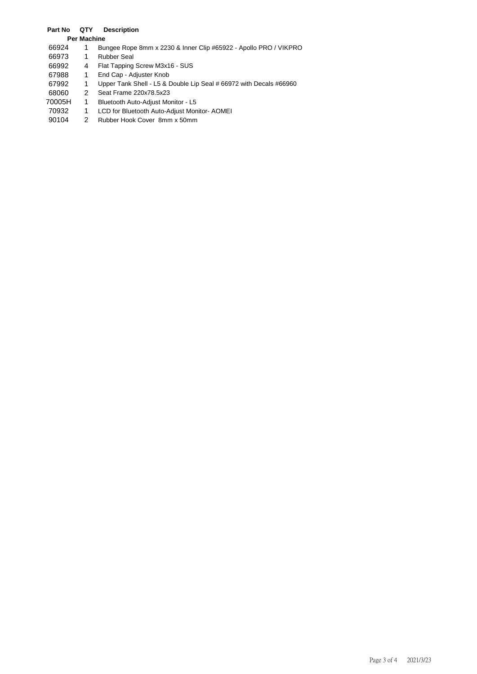## **Part No QTY Description**

## **Per Machine**

- 1 Bungee Rope 8mm x 2230 & Inner Clip #65922 Apollo PRO / VIKPRO
- 1 Rubber Seal
- 4 Flat Tapping Screw M3x16 SUS
- 1 End Cap Adjuster Knob
- 1 Upper Tank Shell L5 & Double Lip Seal # 66972 with Decals #66960
- 2 Seat Frame 220x78.5x23
- 70005H 1 Bluetooth Auto-Adjust Monitor L5
- 1 LCD for Bluetooth Auto-Adjust Monitor- AOMEI
- 2 Rubber Hook Cover 8mm x 50mm